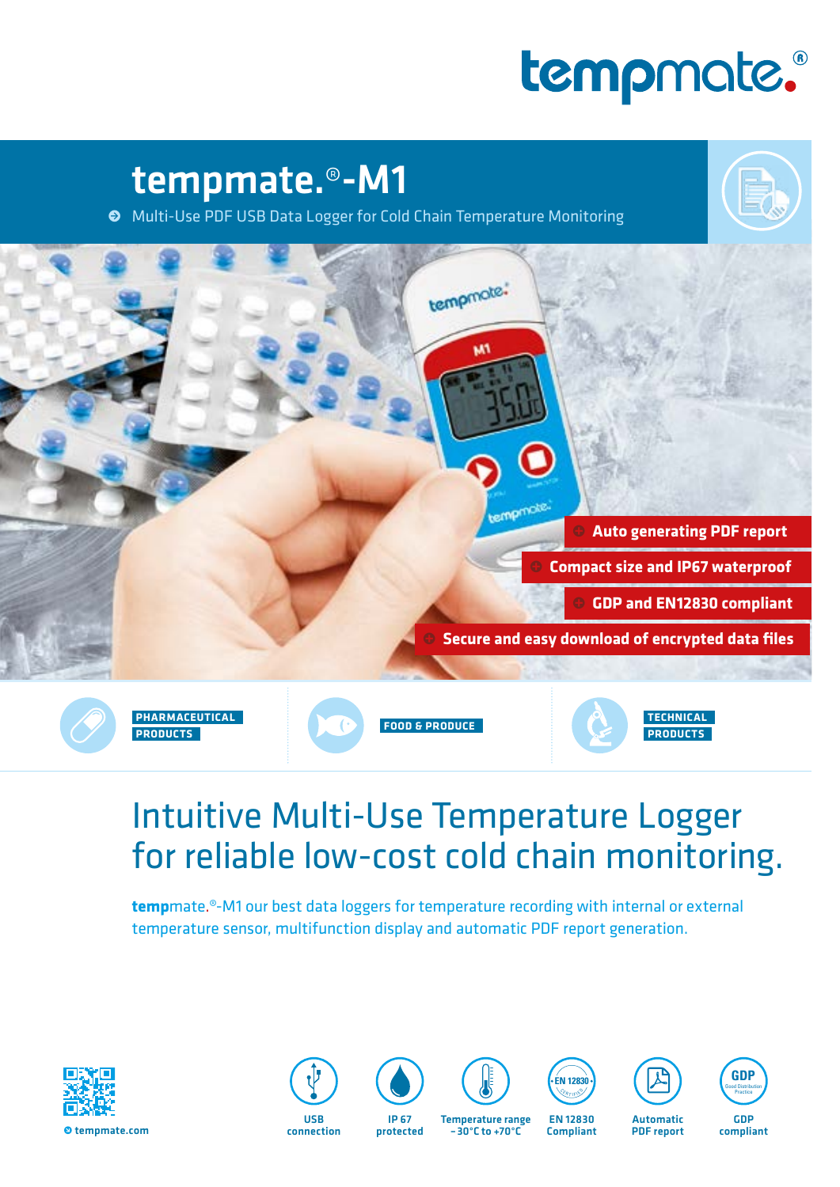# tempmate.

## tempmate.®-M1

• Multi-Use PDF USB Data Logger for Cold Chain Temperature Monitoring



### Intuitive Multi-Use Temperature Logger for reliable low-cost cold chain monitoring.

**temp**mate.®-M1 our best data loggers for temperature recording with internal or external temperature sensor, multifunction display and automatic PDF report generation.



USB<br>connection



protected

Temperature range –30°C to +70°C



EN 12830 Compliant



PDF report



GDP compliant